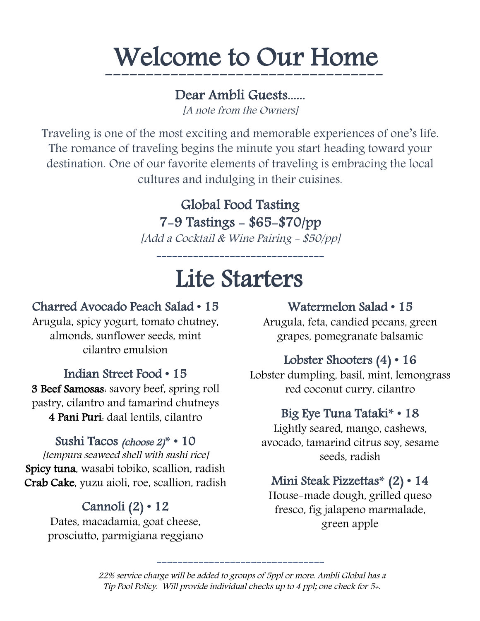# Welcome to Our Home

----------------------------------

# Dear Ambli Guests......

[A note from the Owners]

Traveling is one of the most exciting and memorable experiences of one's life. The romance of traveling begins the minute you start heading toward your destination. One of our favorite elements of traveling is embracing the local cultures and indulging in their cuisines.

# Global Food Tasting 7-9 Tastings - \$65-\$70/pp

[Add a Cocktail & Wine Pairing - \$50/pp]

# Lite Starters

--------------------------------

# Charred Avocado Peach Salad • 15

Arugula, spicy yogurt, tomato chutney, almonds, sunflower seeds, mint cilantro emulsion

## Indian Street Food • 15

3 Beef Samosas: savory beef, spring roll pastry, cilantro and tamarind chutneys 4 Pani Puri: daal lentils, cilantro

#### Sushi Tacos (choose 2)**\*** • 10

[tempura seaweed shell with sushi rice] Spicy tuna, wasabi tobiko, scallion, radish Crab Cake, yuzu aioli, roe, scallion, radish

# Cannoli (2) • 12

Dates, macadamia, goat cheese, prosciutto, parmigiana reggiano

#### Watermelon Salad • 15

Arugula, feta, candied pecans, green grapes, pomegranate balsamic

## Lobster Shooters (4) • 16

Lobster dumpling, basil, mint, lemongrass red coconut curry, cilantro

#### Big Eye Tuna Tataki**\*** • 18

Lightly seared, mango, cashews, avocado, tamarind citrus soy, sesame seeds, radish

# Mini Steak Pizzettas**\*** (2) • 14

House-made dough, grilled queso fresco, fig jalapeno marmalade, green apple

22% service charge will be added to groups of 5ppl or more. Ambli Global has a Tip Pool Policy. Will provide individual checks up to 4 ppl; one check for 5+.

--------------------------------